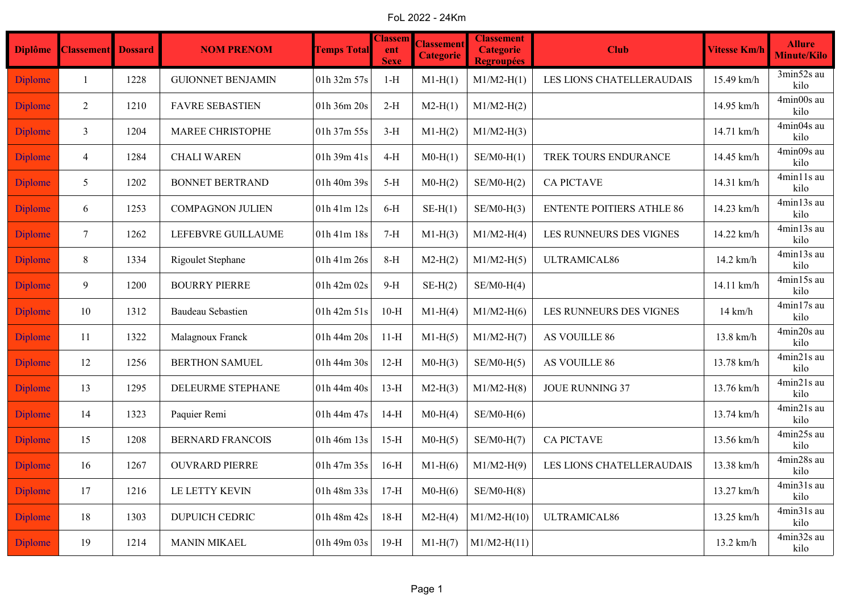FoL 2022 - 24Km

| <b>Diplôme</b> | <b>Classement</b> | <b>Dossard</b> | <b>NOM PRENOM</b>        | <b>Temps Total</b> | <b>Classem</b><br>ent<br><b>Sexe</b> | <b>Classement</b><br><b>Categorie</b> | <b>Classement</b><br><b>Categorie</b><br><b>Regroupées</b> | <b>Club</b>                      | <b>Vitesse Km/h</b> | <b>Allure</b><br><b>Minute/Kilo</b> |
|----------------|-------------------|----------------|--------------------------|--------------------|--------------------------------------|---------------------------------------|------------------------------------------------------------|----------------------------------|---------------------|-------------------------------------|
| <b>Diplome</b> | $\mathbf{1}$      | 1228           | <b>GUIONNET BENJAMIN</b> | 01h 32m 57s        | $1-H$                                | $M1-H(1)$                             | $M1/M2-H(1)$                                               | LES LIONS CHATELLERAUDAIS        | 15.49 km/h          | 3min52s au<br>kilo                  |
| <b>Diplome</b> | $\overline{2}$    | 1210           | <b>FAVRE SEBASTIEN</b>   | 01h 36m 20s        | $2-H$                                | $M2-H(1)$                             | $M1/M2-H(2)$                                               |                                  | 14.95 km/h          | 4min00s au<br>kilo                  |
| <b>Diplome</b> | $\mathfrak{Z}$    | 1204           | <b>MAREE CHRISTOPHE</b>  | 01h 37m 55s        | $3-H$                                | $M1-H(2)$                             | $M1/M2-H(3)$                                               |                                  | 14.71 km/h          | 4min04s au<br>kilo                  |
| <b>Diplome</b> | $\overline{4}$    | 1284           | <b>CHALI WAREN</b>       | 01h 39m 41s        | $4-H$                                | $M0-H(1)$                             | $SE/M0-H(1)$                                               | TREK TOURS ENDURANCE             | 14.45 km/h          | 4min09s au<br>kilo                  |
| <b>Diplome</b> | 5                 | 1202           | <b>BONNET BERTRAND</b>   | 01h 40m 39s        | $5-H$                                | $M0-H(2)$                             | $SE/M0-H(2)$                                               | <b>CA PICTAVE</b>                | 14.31 km/h          | 4min11s au<br>kilo                  |
| <b>Diplome</b> | 6                 | 1253           | <b>COMPAGNON JULIEN</b>  | 01h 41m 12s        | $6-H$                                | $SE-H(1)$                             | $SE/M0-H(3)$                                               | <b>ENTENTE POITIERS ATHLE 86</b> | 14.23 km/h          | 4min13s au<br>kilo                  |
| <b>Diplome</b> | $\tau$            | 1262           | LEFEBVRE GUILLAUME       | 01h 41m 18s        | $7-H$                                | $M1-H(3)$                             | $M1/M2-H(4)$                                               | LES RUNNEURS DES VIGNES          | 14.22 km/h          | 4min13s au<br>kilo                  |
| <b>Diplome</b> | 8                 | 1334           | Rigoulet Stephane        | 01h 41m 26s        | $8-H$                                | $M2-H(2)$                             | $M1/M2-H(5)$                                               | ULTRAMICAL86                     | 14.2 km/h           | 4min13s au<br>kilo                  |
| <b>Diplome</b> | 9                 | 1200           | <b>BOURRY PIERRE</b>     | 01h 42m 02s        | $9-H$                                | $SE-H(2)$                             | $SE/M0-H(4)$                                               |                                  | 14.11 km/h          | 4min15s au<br>kilo                  |
| <b>Diplome</b> | 10                | 1312           | <b>Baudeau Sebastien</b> | 01h 42m 51s        | $10-H$                               | $M1-H(4)$                             | $M1/M2-H(6)$                                               | LES RUNNEURS DES VIGNES          | $14 \text{ km/h}$   | 4min17s au<br>kilo                  |
| <b>Diplome</b> | -11               | 1322           | Malagnoux Franck         | 01h 44m 20s        | $11-H$                               | $M1-H(5)$                             | $M1/M2-H(7)$                                               | AS VOUILLE 86                    | 13.8 km/h           | 4min20s au<br>kilo                  |
| <b>Diplome</b> | 12                | 1256           | <b>BERTHON SAMUEL</b>    | 01h 44m 30s        | $12-H$                               | $M0-H(3)$                             | $SE/M0-H(5)$                                               | AS VOUILLE 86                    | 13.78 km/h          | 4min21s au<br>kilo                  |
| <b>Diplome</b> | 13                | 1295           | DELEURME STEPHANE        | 01h 44m 40s        | $13-H$                               | $M2-H(3)$                             | $M1/M2-H(8)$                                               | <b>JOUE RUNNING 37</b>           | 13.76 km/h          | 4min21s au<br>kilo                  |
| <b>Diplome</b> | 14                | 1323           | Paquier Remi             | 01h 44m 47s        | $14-H$                               | $M0-H(4)$                             | $SE/M0-H(6)$                                               |                                  | 13.74 km/h          | 4min21s au<br>kilo                  |
| <b>Diplome</b> | 15                | 1208           | <b>BERNARD FRANCOIS</b>  | 01h 46m 13s        | $15-H$                               | $M0-H(5)$                             | $SE/M0-H(7)$                                               | <b>CA PICTAVE</b>                | 13.56 km/h          | 4min25s au<br>kilo                  |
| <b>Diplome</b> | 16                | 1267           | <b>OUVRARD PIERRE</b>    | 01h 47m 35s        | $16-H$                               | $M1-H(6)$                             | $M1/M2-H(9)$                                               | LES LIONS CHATELLERAUDAIS        | 13.38 km/h          | 4min28s au<br>kilo                  |
| <b>Diplome</b> | 17                | 1216           | LE LETTY KEVIN           | 01h 48m 33s        | $17-H$                               | $M0-H(6)$                             | $SE/M0-H(8)$                                               |                                  | 13.27 km/h          | 4min31s au<br>kilo                  |
| <b>Diplome</b> | 18                | 1303           | <b>DUPUICH CEDRIC</b>    | 01h 48m 42s        | $18-H$                               | $M2-H(4)$                             | $M1/M2-H(10)$                                              | ULTRAMICAL86                     | 13.25 km/h          | 4min31s au<br>kilo                  |
| <b>Diplome</b> | 19                | 1214           | <b>MANIN MIKAEL</b>      | 01h 49m 03s        | $19-H$                               | $M1-H(7)$                             | $M1/M2-H(11)$                                              |                                  | 13.2 km/h           | 4min32s au<br>kilo                  |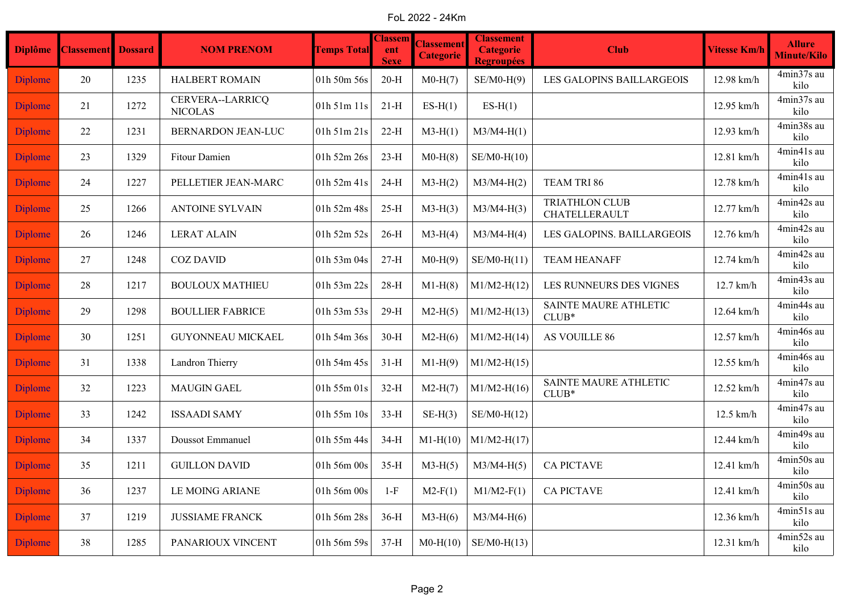FoL 2022 - 24Km

| <b>Diplôme</b> | <b>Classement</b> Dossard |      | <b>NOM PRENOM</b>                  | <b>Temps Total</b> | <b>Classem</b><br>ent<br><b>Sexe</b> | <b>Classement</b><br><b>Categorie</b> | <b>Classement</b><br><b>Categorie</b><br><b>Regroupées</b> | <b>Club</b>                            | <b>Vitesse Km/h</b> | <b>Allure</b><br><b>Minute/Kilo</b> |
|----------------|---------------------------|------|------------------------------------|--------------------|--------------------------------------|---------------------------------------|------------------------------------------------------------|----------------------------------------|---------------------|-------------------------------------|
| <b>Diplome</b> | 20                        | 1235 | <b>HALBERT ROMAIN</b>              | 01h 50m 56s        | $20-H$                               | $M0-H(7)$                             | $SE/M0-H(9)$                                               | LES GALOPINS BAILLARGEOIS              | 12.98 km/h          | 4min37s au<br>kilo                  |
| <b>Diplome</b> | 21                        | 1272 | CERVERA--LARRICQ<br><b>NICOLAS</b> | 01h 51m 11s        | $21-H$                               | $ES-H(1)$                             | $ES-H(1)$                                                  |                                        | 12.95 km/h          | 4min37s au<br>kilo                  |
| <b>Diplome</b> | 22                        | 1231 | <b>BERNARDON JEAN-LUC</b>          | 01h 51m 21s        | $22-H$                               | $M3-H(1)$                             | $M3/M4-H(1)$                                               |                                        | 12.93 km/h          | 4min38s au<br>kilo                  |
| <b>Diplome</b> | 23                        | 1329 | <b>Fitour Damien</b>               | 01h 52m 26s        | $23-H$                               | $M0-H(8)$                             | $SE/M0-H(10)$                                              |                                        | 12.81 km/h          | 4min41s au<br>kilo                  |
| <b>Diplome</b> | 24                        | 1227 | PELLETIER JEAN-MARC                | 01h 52m 41s        | $24-H$                               | $M3-H(2)$                             | $M3/M4-H(2)$                                               | TEAM TRI 86                            | 12.78 km/h          | 4min41s au<br>kilo                  |
| <b>Diplome</b> | 25                        | 1266 | <b>ANTOINE SYLVAIN</b>             | 01h 52m 48s        | $25-H$                               | $M3-H(3)$                             | $M3/M4-H(3)$                                               | <b>TRIATHLON CLUB</b><br>CHATELLERAULT | 12.77 km/h          | 4min42s au<br>kilo                  |
| <b>Diplome</b> | 26                        | 1246 | <b>LERAT ALAIN</b>                 | 01h 52m 52s        | $26-H$                               | $M3-H(4)$                             | $M3/M4-H(4)$                                               | LES GALOPINS. BAILLARGEOIS             | 12.76 km/h          | 4min42s au<br>kilo                  |
| <b>Diplome</b> | 27                        | 1248 | <b>COZ DAVID</b>                   | 01h 53m 04s        | $27-H$                               | $M0-H(9)$                             | $SE/M0-H(11)$                                              | <b>TEAM HEANAFF</b>                    | 12.74 km/h          | 4min42s au<br>kilo                  |
| <b>Diplome</b> | 28                        | 1217 | <b>BOULOUX MATHIEU</b>             | 01h 53m 22s        | $28-H$                               | $M1-H(8)$                             | $M1/M2-H(12)$                                              | LES RUNNEURS DES VIGNES                | 12.7 km/h           | 4min43s au<br>kilo                  |
| <b>Diplome</b> | 29                        | 1298 | <b>BOULLIER FABRICE</b>            | 01h 53m 53s        | $29-H$                               | $M2-H(5)$                             | $M1/M2-H(13)$                                              | SAINTE MAURE ATHLETIC<br>$CLUB*$       | 12.64 km/h          | 4min44s au<br>kilo                  |
| <b>Diplome</b> | 30                        | 1251 | GUYONNEAU MICKAEL                  | 01h 54m 36s        | $30-H$                               | $M2-H(6)$                             | $M1/M2-H(14)$                                              | AS VOUILLE 86                          | 12.57 km/h          | 4min46s au<br>kilo                  |
| <b>Diplome</b> | 31                        | 1338 | Landron Thierry                    | 01h 54m 45s        | $31-H$                               | $M1-H(9)$                             | $M1/M2-H(15)$                                              |                                        | 12.55 km/h          | 4min46s au<br>kilo                  |
| <b>Diplome</b> | 32                        | 1223 | <b>MAUGIN GAEL</b>                 | 01h 55m 01s        | $32-H$                               | $M2-H(7)$                             | $M1/M2-H(16)$                                              | SAINTE MAURE ATHLETIC<br>$CLUB*$       | 12.52 km/h          | 4min47s au<br>kilo                  |
| <b>Diplome</b> | 33                        | 1242 | <b>ISSAADI SAMY</b>                | $01h$ 55m $10s$    | $33-H$                               | $SE-H(3)$                             | $SE/M0-H(12)$                                              |                                        | $12.5$ km/h         | 4min47s au<br>kilo                  |
| <b>Diplome</b> | 34                        | 1337 | Doussot Emmanuel                   | 01h 55m 44s        | $34-H$                               | $M1-H(10)$                            | $M1/M2-H(17)$                                              |                                        | 12.44 km/h          | 4min49s au<br>kilo                  |
| <b>Diplome</b> | 35                        | 1211 | <b>GUILLON DAVID</b>               | 01h 56m 00s        | $35-H$                               | $M3-H(5)$                             | $M3/M4-H(5)$                                               | <b>CA PICTAVE</b>                      | 12.41 km/h          | 4min50s au<br>kilo                  |
| <b>Diplome</b> | 36                        | 1237 | LE MOING ARIANE                    | 01h 56m 00s        | $1-F$                                | $M2-F(1)$                             | $M1/M2-F(1)$                                               | <b>CA PICTAVE</b>                      | 12.41 km/h          | 4min50s au<br>kilo                  |
| <b>Diplome</b> | 37                        | 1219 | <b>JUSSIAME FRANCK</b>             | 01h 56m 28s        | $36-H$                               | $M3-H(6)$                             | $M3/M4-H(6)$                                               |                                        | 12.36 km/h          | 4min51s au<br>kilo                  |
| <b>Diplome</b> | 38                        | 1285 | PANARIOUX VINCENT                  | 01h 56m 59s        | $37-H$                               | $M0-H(10)$                            | $SE/M0-H(13)$                                              |                                        | 12.31 km/h          | 4min52s au<br>kilo                  |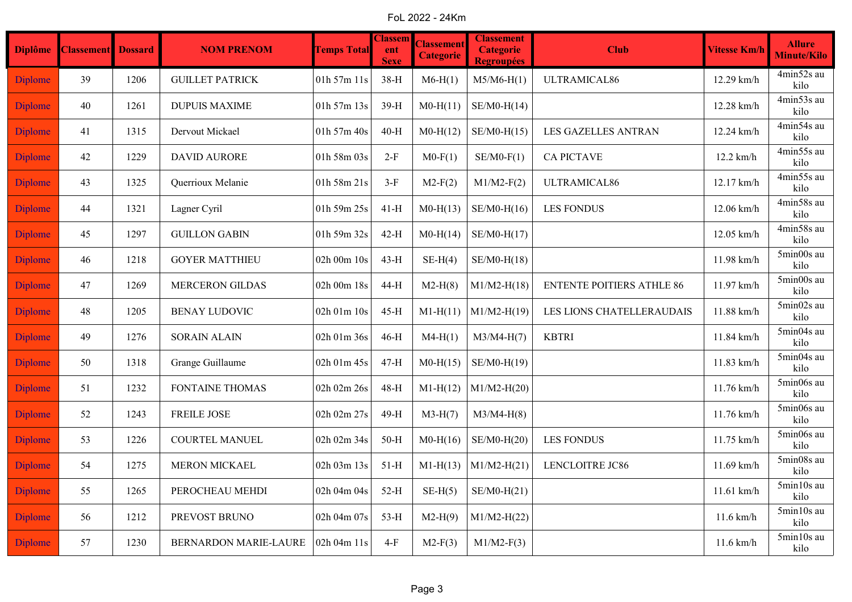FoL 2022 - 24Km

| <b>Diplôme</b> | <b>Classement</b> Dossard |      | <b>NOM PRENOM</b>      | <b>Temps Total</b> | <b>Classem</b><br>ent<br><b>Sexe</b> | <b>Classement</b><br><b>Categorie</b> | <b>Classement</b><br><b>Categorie</b><br><b>Regroupées</b> | <b>Club</b>                      | <b>Vitesse Km/h</b> | <b>Allure</b><br>Minute/Kilo           |
|----------------|---------------------------|------|------------------------|--------------------|--------------------------------------|---------------------------------------|------------------------------------------------------------|----------------------------------|---------------------|----------------------------------------|
| <b>Diplome</b> | 39                        | 1206 | <b>GUILLET PATRICK</b> | 01h 57m 11s        | $38-H$                               | $M6-H(1)$                             | $M5/M6-H(1)$                                               | ULTRAMICAL86                     | 12.29 km/h          | 4min52s au<br>kilo                     |
| <b>Diplome</b> | 40                        | 1261 | <b>DUPUIS MAXIME</b>   | 01h 57m 13s        | $39-H$                               | $M0-H(11)$                            | $SE/M0-H(14)$                                              |                                  | 12.28 km/h          | 4min53s au<br>kilo                     |
| <b>Diplome</b> | 41                        | 1315 | Dervout Mickael        | 01h 57m 40s        | $40-H$                               | $M0-H(12)$                            | $SE/M0-H(15)$                                              | <b>LES GAZELLES ANTRAN</b>       | 12.24 km/h          | 4min54s au<br>kilo                     |
| <b>Diplome</b> | 42                        | 1229 | <b>DAVID AURORE</b>    | 01h 58m 03s        | $2-F$                                | $M0-F(1)$                             | $SE/M0-F(1)$                                               | <b>CA PICTAVE</b>                | $12.2$ km/h         | 4min55s au<br>kilo                     |
| <b>Diplome</b> | 43                        | 1325 | Querrioux Melanie      | 01h 58m 21s        | $3-F$                                | $M2-F(2)$                             | $M1/M2-F(2)$                                               | ULTRAMICAL86                     | 12.17 km/h          | 4min55s au<br>kilo                     |
| <b>Diplome</b> | 44                        | 1321 | Lagner Cyril           | 01h 59m 25s        | $41-H$                               | $M0-H(13)$                            | $SE/M0-H(16)$                                              | <b>LES FONDUS</b>                | 12.06 km/h          | 4min58s au<br>kilo                     |
| <b>Diplome</b> | 45                        | 1297 | <b>GUILLON GABIN</b>   | 01h 59m 32s        | $42-H$                               | $M0-H(14)$                            | $SE/M0-H(17)$                                              |                                  | 12.05 km/h          | 4min58s au<br>kilo                     |
| <b>Diplome</b> | 46                        | 1218 | <b>GOYER MATTHIEU</b>  | 02h 00m 10s        | $43-H$                               | $SE-H(4)$                             | $SE/M0-H(18)$                                              |                                  | 11.98 km/h          | $5\mathrm{min}00\mathrm{s}$ au<br>kilo |
| <b>Diplome</b> | 47                        | 1269 | <b>MERCERON GILDAS</b> | 02h 00m 18s        | 44-H                                 | $M2-H(8)$                             | $M1/M2-H(18)$                                              | <b>ENTENTE POITIERS ATHLE 86</b> | 11.97 km/h          | 5min00s au<br>kilo                     |
| <b>Diplome</b> | 48                        | 1205 | <b>BENAY LUDOVIC</b>   | 02h 01m 10s        | $45-H$                               | $M1-H(11)$                            | $M1/M2-H(19)$                                              | LES LIONS CHATELLERAUDAIS        | 11.88 km/h          | 5min02s au<br>kilo                     |
| <b>Diplome</b> | 49                        | 1276 | <b>SORAIN ALAIN</b>    | 02h 01m 36s        | $46-H$                               | $M4-H(1)$                             | $M3/M4-H(7)$                                               | <b>KBTRI</b>                     | 11.84 km/h          | 5min04s au<br>kilo                     |
| <b>Diplome</b> | 50                        | 1318 | Grange Guillaume       | 02h 01m 45s        | $47-H$                               | $M0-H(15)$                            | SE/M0-H(19)                                                |                                  | 11.83 km/h          | 5min04s au<br>kilo                     |
| <b>Diplome</b> | 51                        | 1232 | FONTAINE THOMAS        | 02h 02m 26s        | $48-H$                               | $M1-H(12)$                            | $M1/M2-H(20)$                                              |                                  | 11.76 km/h          | 5min06s au<br>kilo                     |
| <b>Diplome</b> | 52                        | 1243 | <b>FREILE JOSE</b>     | 02h 02m 27s        | 49-H                                 | $M3-H(7)$                             | $M3/M4-H(8)$                                               |                                  | 11.76 km/h          | 5min06s au<br>kilo                     |
| <b>Diplome</b> | 53                        | 1226 | <b>COURTEL MANUEL</b>  | 02h 02m 34s        | $50-H$                               | $M0-H(16)$                            | $SE/M0-H(20)$                                              | <b>LES FONDUS</b>                | 11.75 km/h          | 5min06s au<br>kilo                     |
| <b>Diplome</b> | 54                        | 1275 | MERON MICKAEL          | 02h 03m 13s        | $51-H$                               | $M1-H(13)$                            | $M1/M2-H(21)$                                              | LENCLOITRE JC86                  | 11.69 km/h          | 5min08s au<br>kilo                     |
| <b>Diplome</b> | 55                        | 1265 | PEROCHEAU MEHDI        | 02h 04m 04s        | $52-H$                               | $SE-H(5)$                             | $SE/M0-H(21)$                                              |                                  | $11.61$ km/h        | 5min10s au<br>kilo                     |
| <b>Diplome</b> | 56                        | 1212 | PREVOST BRUNO          | 02h 04m 07s        | $53-H$                               | $M2-H(9)$                             | $M1/M2-H(22)$                                              |                                  | $11.6$ km/h         | 5min10s au<br>kilo                     |
| <b>Diplome</b> | 57                        | 1230 | BERNARDON MARIE-LAURE  | 02h 04m 11s        | $4-F$                                | $M2-F(3)$                             | $M1/M2-F(3)$                                               |                                  | $11.6$ km/h         | 5min10s au<br>kilo                     |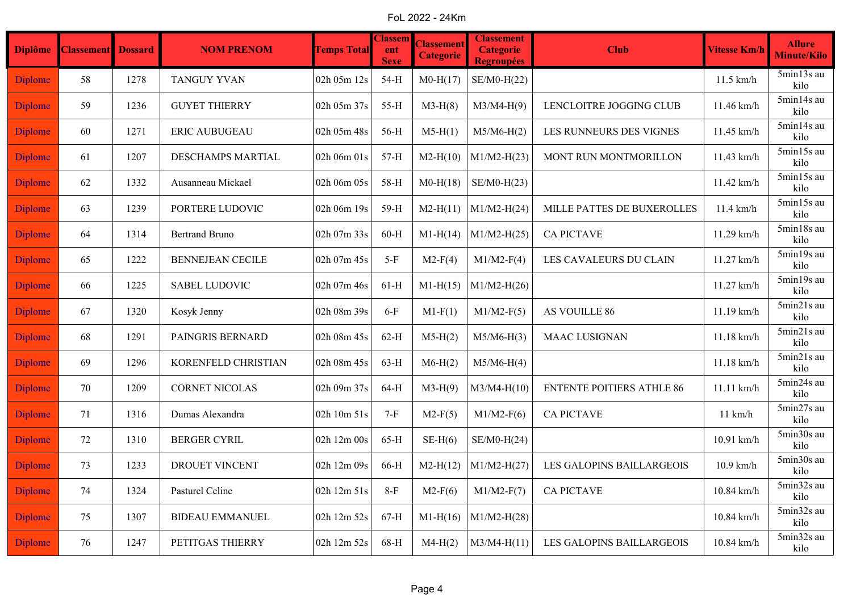FoL 2022 - 24Km

| <b>Diplôme</b> | <b>Classement</b> | <b>Dossard</b> | <b>NOM PRENOM</b>       | <b>Temps Total</b> | <b>Classem</b><br>ent<br><b>Sexe</b> | <b>Classement</b><br><b>Categorie</b> | <b>Classement</b><br><b>Categorie</b><br><b>Regroupées</b> | <b>Club</b>                      | <b>Vitesse Km/h</b> | <b>Allure</b><br><b>Minute/Kilo</b> |
|----------------|-------------------|----------------|-------------------------|--------------------|--------------------------------------|---------------------------------------|------------------------------------------------------------|----------------------------------|---------------------|-------------------------------------|
| <b>Diplome</b> | 58                | 1278           | <b>TANGUY YVAN</b>      | 02h 05m 12s        | 54-H                                 | $M0-H(17)$                            | SE/M0-H(22)                                                |                                  | $11.5$ km/h         | 5min13s au<br>kilo                  |
| <b>Diplome</b> | 59                | 1236           | <b>GUYET THIERRY</b>    | 02h 05m 37s        | $55-H$                               | $M3-H(8)$                             | $M3/M4-H(9)$                                               | LENCLOITRE JOGGING CLUB          | 11.46 km/h          | 5min14s au<br>kilo                  |
| <b>Diplome</b> | 60                | 1271           | <b>ERIC AUBUGEAU</b>    | 02h 05m 48s        | 56-H                                 | $M5-H(1)$                             | $M5/M6-H(2)$                                               | LES RUNNEURS DES VIGNES          | 11.45 km/h          | 5min14s au<br>kilo                  |
| <b>Diplome</b> | 61                | 1207           | DESCHAMPS MARTIAL       | 02h 06m 01s        | $57-H$                               | $M2-H(10)$                            | $M1/M2-H(23)$                                              | MONT RUN MONTMORILLON            | 11.43 km/h          | 5min15s au<br>kilo                  |
| <b>Diplome</b> | 62                | 1332           | Ausanneau Mickael       | 02h 06m 05s        | 58-H                                 | $M0-H(18)$                            | $SE/M0-H(23)$                                              |                                  | 11.42 km/h          | 5min15s au<br>kilo                  |
| <b>Diplome</b> | 63                | 1239           | PORTERE LUDOVIC         | 02h 06m 19s        | 59-H                                 | $M2-H(11)$                            | $M1/M2-H(24)$                                              | MILLE PATTES DE BUXEROLLES       | $11.4$ km/h         | 5min15s au<br>kilo                  |
| <b>Diplome</b> | 64                | 1314           | <b>Bertrand Bruno</b>   | 02h 07m 33s        | $60-H$                               | $M1-H(14)$                            | $M1/M2-H(25)$                                              | <b>CA PICTAVE</b>                | 11.29 km/h          | 5min18s au<br>kilo                  |
| <b>Diplome</b> | 65                | 1222           | <b>BENNEJEAN CECILE</b> | 02h 07m 45s        | $5-F$                                | $M2-F(4)$                             | $M1/M2-F(4)$                                               | LES CAVALEURS DU CLAIN           | 11.27 km/h          | 5min19s au<br>kilo                  |
| <b>Diplome</b> | 66                | 1225           | <b>SABEL LUDOVIC</b>    | 02h 07m 46s        | $61-H$                               | $M1-H(15)$                            | $M1/M2-H(26)$                                              |                                  | 11.27 km/h          | 5min19s au<br>kilo                  |
| <b>Diplome</b> | 67                | 1320           | Kosyk Jenny             | 02h 08m 39s        | $6-F$                                | $M1-F(1)$                             | $M1/M2-F(5)$                                               | AS VOUILLE 86                    | 11.19 km/h          | 5min21s au<br>kilo                  |
| <b>Diplome</b> | 68                | 1291           | PAINGRIS BERNARD        | 02h 08m 45s        | $62-H$                               | $M5-H(2)$                             | $M5/M6-H(3)$                                               | <b>MAAC LUSIGNAN</b>             | 11.18 km/h          | 5min21s au<br>kilo                  |
| <b>Diplome</b> | 69                | 1296           | KORENFELD CHRISTIAN     | 02h 08m 45s        | $63-H$                               | $M6-H(2)$                             | $M5/M6-H(4)$                                               |                                  | 11.18 km/h          | 5min21s au<br>kilo                  |
| <b>Diplome</b> | 70                | 1209           | <b>CORNET NICOLAS</b>   | 02h 09m 37s        | $64-H$                               | $M3-H(9)$                             | $M3/M4-H(10)$                                              | <b>ENTENTE POITIERS ATHLE 86</b> | 11.11 km/h          | 5min24s au<br>kilo                  |
| <b>Diplome</b> | 71                | 1316           | Dumas Alexandra         | 02h 10m 51s        | $7-F$                                | $M2-F(5)$                             | $M1/M2-F(6)$                                               | <b>CA PICTAVE</b>                | $11 \text{ km/h}$   | 5min27s au<br>kilo                  |
| <b>Diplome</b> | 72                | 1310           | <b>BERGER CYRIL</b>     | 02h 12m 00s        | $65-H$                               | $SE-H(6)$                             | $SE/M0-H(24)$                                              |                                  | 10.91 km/h          | 5min30s au<br>kilo                  |
| <b>Diplome</b> | 73                | 1233           | DROUET VINCENT          | 02h 12m 09s        | 66-H                                 | $M2-H(12)$                            | $M1/M2-H(27)$                                              | LES GALOPINS BAILLARGEOIS        | $10.9$ km/h         | 5min30s au<br>kilo                  |
| Diplome        | 74                | 1324           | Pasturel Celine         | 02h 12m 51s        | $8-F$                                | $M2-F(6)$                             | $M1/M2-F(7)$                                               | <b>CA PICTAVE</b>                | 10.84 km/h          | 5min32s au<br>kilo                  |
| Diplome        | 75                | 1307           | <b>BIDEAU EMMANUEL</b>  | 02h 12m 52s        | $67-H$                               | $M1-H(16)$                            | $M1/M2-H(28)$                                              |                                  | 10.84 km/h          | 5min32s au<br>kilo                  |
| <b>Diplome</b> | 76                | 1247           | PETITGAS THIERRY        | 02h 12m 52s        | 68-H                                 | $M4-H(2)$                             | $M3/M4-H(11)$                                              | LES GALOPINS BAILLARGEOIS        | 10.84 km/h          | 5min32s au<br>kilo                  |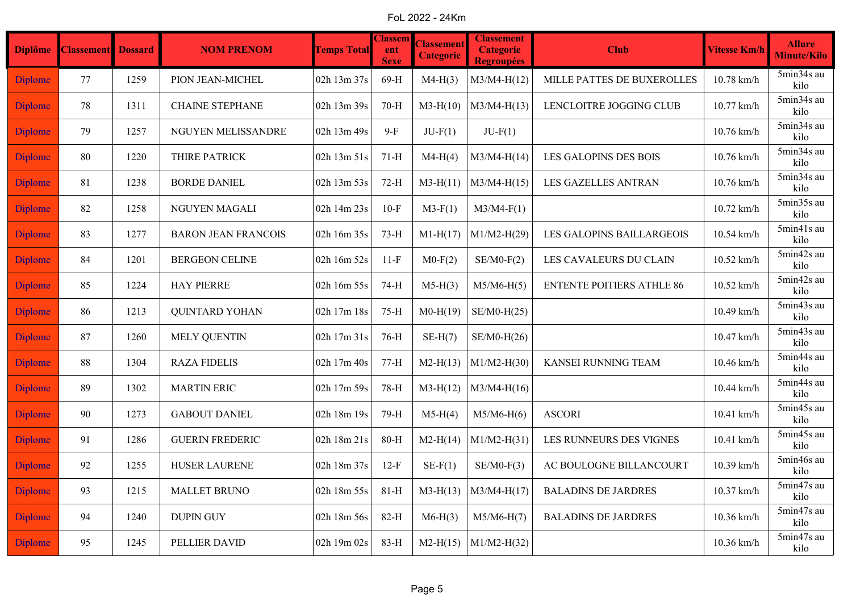FoL 2022 - 24Km

| <b>Diplôme</b> | <b>Classement</b> Dossard |      | <b>NOM PRENOM</b>          | <b>Temps Total</b> | <b>Classem</b><br>ent<br><b>Sexe</b> | <b>Classement</b><br><b>Categorie</b> | <b>Classement</b><br><b>Categorie</b><br><b>Regroupées</b> | <b>Club</b>                      | <b>Vitesse Km/h</b> | <b>Allure</b><br>Minute/Kilo |
|----------------|---------------------------|------|----------------------------|--------------------|--------------------------------------|---------------------------------------|------------------------------------------------------------|----------------------------------|---------------------|------------------------------|
| <b>Diplome</b> | 77                        | 1259 | PION JEAN-MICHEL           | 02h 13m 37s        | $69-H$                               | $M4-H(3)$                             | $M3/M4-H(12)$                                              | MILLE PATTES DE BUXEROLLES       | 10.78 km/h          | 5min34s au<br>kilo           |
| <b>Diplome</b> | 78                        | 1311 | <b>CHAINE STEPHANE</b>     | 02h 13m 39s        | $70-H$                               | $M3-H(10)$                            | $M3/M4-H(13)$                                              | LENCLOITRE JOGGING CLUB          | 10.77 km/h          | 5min34s au<br>kilo           |
| <b>Diplome</b> | 79                        | 1257 | NGUYEN MELISSANDRE         | 02h 13m 49s        | $9-F$                                | $JU-F(1)$                             | $JU-F(1)$                                                  |                                  | 10.76 km/h          | 5min34s au<br>kilo           |
| <b>Diplome</b> | 80                        | 1220 | THIRE PATRICK              | 02h 13m 51s        | $71-H$                               | $M4-H(4)$                             | $M3/M4-H(14)$                                              | LES GALOPINS DES BOIS            | 10.76 km/h          | 5min34s au<br>kilo           |
| <b>Diplome</b> | 81                        | 1238 | <b>BORDE DANIEL</b>        | 02h 13m 53s        | $72-H$                               | $M3-H(11)$                            | $M3/M4-H(15)$                                              | <b>LES GAZELLES ANTRAN</b>       | 10.76 km/h          | 5min34s au<br>kilo           |
| <b>Diplome</b> | 82                        | 1258 | NGUYEN MAGALI              | 02h 14m 23s        | $10-F$                               | $M3-F(1)$                             | $M3/M4-F(1)$                                               |                                  | 10.72 km/h          | 5min35s au<br>kilo           |
| <b>Diplome</b> | 83                        | 1277 | <b>BARON JEAN FRANCOIS</b> | 02h 16m 35s        | $73-H$                               | $M1-H(17)$                            | $M1/M2-H(29)$                                              | LES GALOPINS BAILLARGEOIS        | 10.54 km/h          | 5min41s au<br>kilo           |
| <b>Diplome</b> | 84                        | 1201 | <b>BERGEON CELINE</b>      | 02h 16m 52s        | $11-F$                               | $M0-F(2)$                             | $SE/M0-F(2)$                                               | LES CAVALEURS DU CLAIN           | 10.52 km/h          | 5min42s au<br>kilo           |
| <b>Diplome</b> | 85                        | 1224 | <b>HAY PIERRE</b>          | 02h 16m 55s        | 74-H                                 | $M5-H(3)$                             | $M5/M6-H(5)$                                               | <b>ENTENTE POITIERS ATHLE 86</b> | 10.52 km/h          | 5min42s au<br>kilo           |
| <b>Diplome</b> | 86                        | 1213 | <b>QUINTARD YOHAN</b>      | 02h 17m 18s        | $75-H$                               | $M0-H(19)$                            | $SE/M0-H(25)$                                              |                                  | 10.49 km/h          | 5min43s au<br>kilo           |
| <b>Diplome</b> | 87                        | 1260 | <b>MELY QUENTIN</b>        | 02h 17m 31s        | $76-H$                               | $SE-H(7)$                             | $SE/M0-H(26)$                                              |                                  | 10.47 km/h          | 5min43s au<br>kilo           |
| <b>Diplome</b> | 88                        | 1304 | <b>RAZA FIDELIS</b>        | 02h 17m 40s        | $77-H$                               | $M2-H(13)$                            | $M1/M2-H(30)$                                              | KANSEI RUNNING TEAM              | 10.46 km/h          | 5min44s au<br>kilo           |
| <b>Diplome</b> | 89                        | 1302 | <b>MARTIN ERIC</b>         | 02h 17m 59s        | 78-H                                 | $M3-H(12)$                            | $M3/M4-H(16)$                                              |                                  | 10.44 km/h          | 5min44s au<br>kilo           |
| <b>Diplome</b> | 90                        | 1273 | <b>GABOUT DANIEL</b>       | 02h 18m 19s        | 79-H                                 | $M5-H(4)$                             | $M5/M6-H(6)$                                               | <b>ASCORI</b>                    | 10.41 km/h          | 5min45s au<br>kilo           |
| <b>Diplome</b> | 91                        | 1286 | <b>GUERIN FREDERIC</b>     | 02h 18m 21s        | $80-H$                               | $M2-H(14)$                            | $M1/M2-H(31)$                                              | LES RUNNEURS DES VIGNES          | 10.41 km/h          | 5min45s au<br>kilo           |
| <b>Diplome</b> | 92                        | 1255 | <b>HUSER LAURENE</b>       | 02h 18m 37s        | $12-F$                               | $SE-F(1)$                             | $SE/M0-F(3)$                                               | AC BOULOGNE BILLANCOURT          | 10.39 km/h          | 5min46s au<br>kilo           |
| <b>Diplome</b> | 93                        | 1215 | <b>MALLET BRUNO</b>        | 02h 18m 55s        | $81-H$                               | $M3-H(13)$                            | $M3/M4-H(17)$                                              | <b>BALADINS DE JARDRES</b>       | 10.37 km/h          | 5min47s au<br>kilo           |
| <b>Diplome</b> | 94                        | 1240 | <b>DUPIN GUY</b>           | 02h 18m 56s        | $82-H$                               | $M6-H(3)$                             | $M5/M6-H(7)$                                               | <b>BALADINS DE JARDRES</b>       | 10.36 km/h          | 5min47s au<br>kilo           |
| <b>Diplome</b> | 95                        | 1245 | PELLIER DAVID              | 02h 19m 02s        | 83-H                                 | $M2-H(15)$                            | $ML/M2-H(32)$                                              |                                  | 10.36 km/h          | 5min47s au<br>kilo           |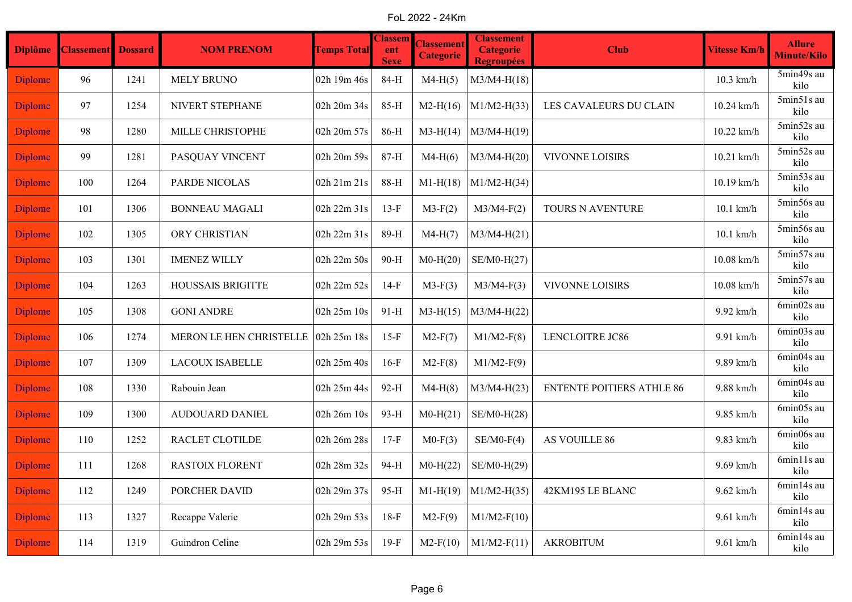FoL 2022 - 24Km

| <b>Diplôme</b> | <b>Classement</b> Dossard |      | <b>NOM PRENOM</b>              | <b>Temps Total</b> | <b>Classem</b><br>ent<br><b>Sexe</b> | <b>Classement</b><br><b>Categorie</b> | <b>Classement</b><br><b>Categorie</b><br><b>Regroupées</b> | <b>Club</b>                      | <b>Vitesse Km/h</b> | <b>Allure</b><br><b>Minute/Kilo</b> |
|----------------|---------------------------|------|--------------------------------|--------------------|--------------------------------------|---------------------------------------|------------------------------------------------------------|----------------------------------|---------------------|-------------------------------------|
| <b>Diplome</b> | 96                        | 1241 | <b>MELY BRUNO</b>              | 02h 19m 46s        | 84-H                                 | $M4-H(5)$                             | $M3/M4-H(18)$                                              |                                  | $10.3$ km/h         | 5min49s au<br>kilo                  |
| <b>Diplome</b> | 97                        | 1254 | NIVERT STEPHANE                | 02h 20m 34s        | 85-H                                 | $M2-H(16)$                            | $M1/M2-H(33)$                                              | LES CAVALEURS DU CLAIN           | 10.24 km/h          | 5min51s au<br>kilo                  |
| <b>Diplome</b> | 98                        | 1280 | MILLE CHRISTOPHE               | 02h 20m 57s        | 86-H                                 | $M3-H(14)$                            | $M3/M4-H(19)$                                              |                                  | 10.22 km/h          | 5min52s au<br>kilo                  |
| <b>Diplome</b> | 99                        | 1281 | PASQUAY VINCENT                | 02h 20m 59s        | 87-H                                 | $M4-H(6)$                             | $M3/M4-H(20)$                                              | VIVONNE LOISIRS                  | 10.21 km/h          | 5min52s au<br>kilo                  |
| <b>Diplome</b> | 100                       | 1264 | PARDE NICOLAS                  | 02h 21m 21s        | 88-H                                 | $M1-H(18)$                            | $M1/M2-H(34)$                                              |                                  | 10.19 km/h          | 5min53s au<br>kilo                  |
| <b>Diplome</b> | 101                       | 1306 | <b>BONNEAU MAGALI</b>          | 02h 22m 31s        | $13-F$                               | $M3-F(2)$                             | $M3/M4-F(2)$                                               | TOURS N AVENTURE                 | $10.1$ km/h         | 5min56s au<br>kilo                  |
| <b>Diplome</b> | 102                       | 1305 | ORY CHRISTIAN                  | 02h 22m 31s        | 89-H                                 | $M4-H(7)$                             | $M3/M4-H(21)$                                              |                                  | $10.1$ km/h         | 5min56s au<br>kilo                  |
| <b>Diplome</b> | 103                       | 1301 | <b>IMENEZ WILLY</b>            | 02h 22m 50s        | 90-H                                 | $M0-H(20)$                            | $SE/M0-H(27)$                                              |                                  | $10.08$ km/h        | 5min57s au<br>kilo                  |
| <b>Diplome</b> | 104                       | 1263 | <b>HOUSSAIS BRIGITTE</b>       | 02h 22m 52s        | $14-F$                               | $M3-F(3)$                             | $M3/M4-F(3)$                                               | VIVONNE LOISIRS                  | $10.08$ km/h        | 5min57s au<br>kilo                  |
| <b>Diplome</b> | 105                       | 1308 | <b>GONI ANDRE</b>              | 02h 25m 10s        | $91-H$                               | $M3-H(15)$                            | $M3/M4-H(22)$                                              |                                  | 9.92 km/h           | 6min02s au<br>kilo                  |
| <b>Diplome</b> | 106                       | 1274 | <b>MERON LE HEN CHRISTELLE</b> | 02h 25m 18s        | $15-F$                               | $M2-F(7)$                             | $M1/M2-F(8)$                                               | <b>LENCLOITRE JC86</b>           | 9.91 km/h           | 6min03s au<br>kilo                  |
| <b>Diplome</b> | 107                       | 1309 | <b>LACOUX ISABELLE</b>         | 02h 25m 40s        | $16-F$                               | $M2-F(8)$                             | $M1/M2-F(9)$                                               |                                  | 9.89 km/h           | 6min04s au<br>kilo                  |
| <b>Diplome</b> | 108                       | 1330 | Rabouin Jean                   | 02h 25m 44s        | 92-H                                 | $M4-H(8)$                             | $M3/M4-H(23)$                                              | <b>ENTENTE POITIERS ATHLE 86</b> | 9.88 km/h           | 6min04s au<br>kilo                  |
| <b>Diplome</b> | 109                       | 1300 | <b>AUDOUARD DANIEL</b>         | 02h 26m 10s        | 93-H                                 | $M0-H(21)$                            | $SE/M0-H(28)$                                              |                                  | 9.85 km/h           | 6min05s au<br>kilo                  |
| <b>Diplome</b> | 110                       | 1252 | RACLET CLOTILDE                | 02h 26m 28s        | $17-F$                               | $M0-F(3)$                             | $SE/M0-F(4)$                                               | AS VOUILLE 86                    | 9.83 km/h           | 6min06s au<br>kilo                  |
| <b>Diplome</b> | 111                       | 1268 | <b>RASTOIX FLORENT</b>         | 02h 28m 32s        | 94-H                                 | $M0-H(22)$                            | SE/M0-H(29)                                                |                                  | 9.69 km/h           | 6min11s au<br>kilo                  |
| <b>Diplome</b> | 112                       | 1249 | PORCHER DAVID                  | 02h 29m 37s        | 95-H                                 | $M1-H(19)$                            | $M1/M2-H(35)$                                              | 42KM195 LE BLANC                 | 9.62 km/h           | 6min14s au<br>kilo                  |
| <b>Diplome</b> | 113                       | 1327 | Recappe Valerie                | 02h 29m 53s        | $18-F$                               | $M2-F(9)$                             | $M1/M2-F(10)$                                              |                                  | $9.61$ km/h         | 6min14s au<br>kilo                  |
| <b>Diplome</b> | 114                       | 1319 | Guindron Celine                | 02h 29m 53s        | $19-F$                               | $M2-F(10)$                            | $M1/M2-F(11)$                                              | <b>AKROBITUM</b>                 | $9.61$ km/h         | 6min14s au<br>kilo                  |